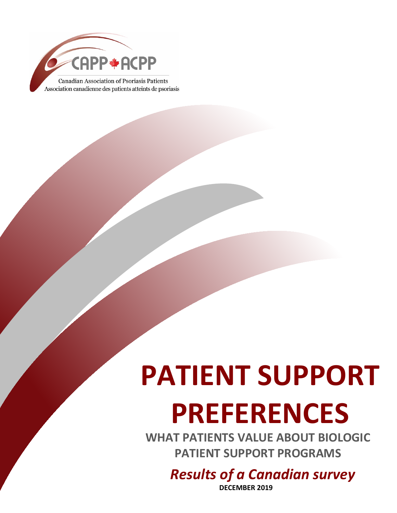

# **PATIENT SUPPORT**

# **PREFERENCES**

**WHAT PATIENTS VALUE ABOUT BIOLOGIC PATIENT SUPPORT PROGRAMS**

*Results of a Canadian survey*

**DECEMBER 2019**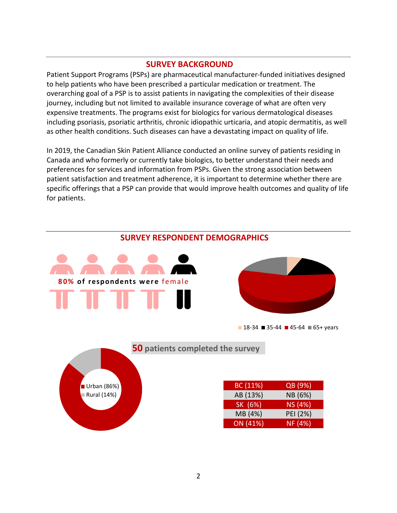### **SURVEY BACKGROUND**

Patient Support Programs (PSPs) are pharmaceutical manufacturer-funded initiatives designed to help patients who have been prescribed a particular medication or treatment. The overarching goal of a PSP is to assist patients in navigating the complexities of their disease journey, including but not limited to available insurance coverage of what are often very expensive treatments. The programs exist for biologics for various dermatological diseases including psoriasis, psoriatic arthritis, chronic idiopathic urticaria, and atopic dermatitis, as well as other health conditions. Such diseases can have a devastating impact on quality of life.

In 2019, the Canadian Skin Patient Alliance conducted an online survey of patients residing in Canada and who formerly or currently take biologics, to better understand their needs and preferences for services and information from PSPs. Given the strong association between patient satisfaction and treatment adherence, it is important to determine whether there are specific offerings that a PSP can provide that would improve health outcomes and quality of life for patients.



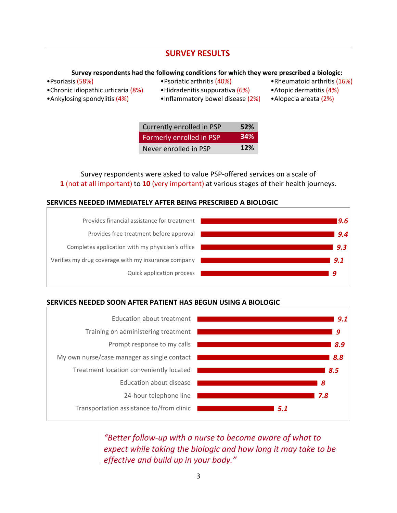# **SURVEY RESULTS**

#### **Survey respondents had the following conditions for which they were prescribed a biologic:**

- 
- •Psoriasis (58%) •Psoriatic arthritis (40%) •Rheumatoid arthritis (16%)
- •Chronic idiopathic urticaria (8%) Hidradenitis suppurativa (6%) Atopic dermatitis (4%)
	-
- 
- 
- 
- •Ankylosing spondylitis (4%) •Inflammatory bowel disease (2%) •Alopecia areata (2%)
	-

| Currently enrolled in PSP | 52%        |
|---------------------------|------------|
| Formerly enrolled in PSP  | 34%        |
| Never enrolled in PSP     | <b>12%</b> |

Survey respondents were asked to value PSP-offered services on a scale of **1** (not at all important) to **10** (very important) at various stages of their health journeys.

#### **SERVICES NEEDED IMMEDIATELY AFTER BEING PRESCRIBED A BIOLOGIC**



## **SERVICES NEEDED SOON AFTER PATIENT HAS BEGUN USING A BIOLOGIC**



*"Better follow-up with a nurse to become aware of what to expect while taking the biologic and how long it may take to be effective and build up in your body."*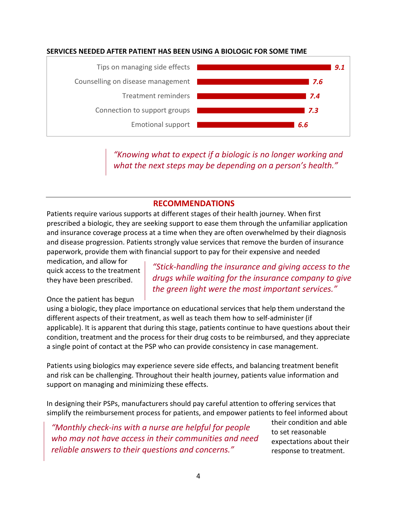### **SERVICES NEEDED AFTER PATIENT HAS BEEN USING A BIOLOGIC FOR SOME TIME**



*"Knowing what to expect if a biologic is no longer working and what the next steps may be depending on a person's health."*

# **RECOMMENDATIONS**

Patients require various supports at different stages of their health journey. When first prescribed a biologic, they are seeking support to ease them through the unfamiliar application and insurance coverage process at a time when they are often overwhelmed by their diagnosis and disease progression. Patients strongly value services that remove the burden of insurance paperwork, provide them with financial support to pay for their expensive and needed

medication, and allow for quick access to the treatment they have been prescribed.

*"Stick-handling the insurance and giving access to the drugs while waiting for the insurance company to give the green light were the most important services."*

#### Once the patient has begun

using a biologic, they place importance on educational services that help them understand the different aspects of their treatment, as well as teach them how to self-administer (if applicable). It is apparent that during this stage, patients continue to have questions about their condition, treatment and the process for their drug costs to be reimbursed, and they appreciate a single point of contact at the PSP who can provide consistency in case management.

Patients using biologics may experience severe side effects, and balancing treatment benefit and risk can be challenging. Throughout their health journey, patients value information and support on managing and minimizing these effects.

In designing their PSPs, manufacturers should pay careful attention to offering services that simplify the reimbursement process for patients, and empower patients to feel informed about

*"Monthly check-ins with a nurse are helpful for people who may not have access in their communities and need reliable answers to their questions and concerns."*

their condition and able to set reasonable expectations about their response to treatment.